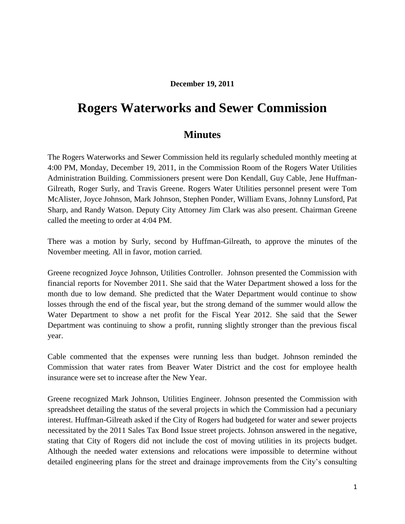## **December 19, 2011**

## **Rogers Waterworks and Sewer Commission**

## **Minutes**

The Rogers Waterworks and Sewer Commission held its regularly scheduled monthly meeting at 4:00 PM, Monday, December 19, 2011, in the Commission Room of the Rogers Water Utilities Administration Building. Commissioners present were Don Kendall, Guy Cable, Jene Huffman-Gilreath, Roger Surly, and Travis Greene. Rogers Water Utilities personnel present were Tom McAlister, Joyce Johnson, Mark Johnson, Stephen Ponder, William Evans, Johnny Lunsford, Pat Sharp, and Randy Watson. Deputy City Attorney Jim Clark was also present. Chairman Greene called the meeting to order at 4:04 PM.

There was a motion by Surly, second by Huffman-Gilreath, to approve the minutes of the November meeting. All in favor, motion carried.

Greene recognized Joyce Johnson, Utilities Controller. Johnson presented the Commission with financial reports for November 2011. She said that the Water Department showed a loss for the month due to low demand. She predicted that the Water Department would continue to show losses through the end of the fiscal year, but the strong demand of the summer would allow the Water Department to show a net profit for the Fiscal Year 2012. She said that the Sewer Department was continuing to show a profit, running slightly stronger than the previous fiscal year.

Cable commented that the expenses were running less than budget. Johnson reminded the Commission that water rates from Beaver Water District and the cost for employee health insurance were set to increase after the New Year.

Greene recognized Mark Johnson, Utilities Engineer. Johnson presented the Commission with spreadsheet detailing the status of the several projects in which the Commission had a pecuniary interest. Huffman-Gilreath asked if the City of Rogers had budgeted for water and sewer projects necessitated by the 2011 Sales Tax Bond Issue street projects. Johnson answered in the negative, stating that City of Rogers did not include the cost of moving utilities in its projects budget. Although the needed water extensions and relocations were impossible to determine without detailed engineering plans for the street and drainage improvements from the City's consulting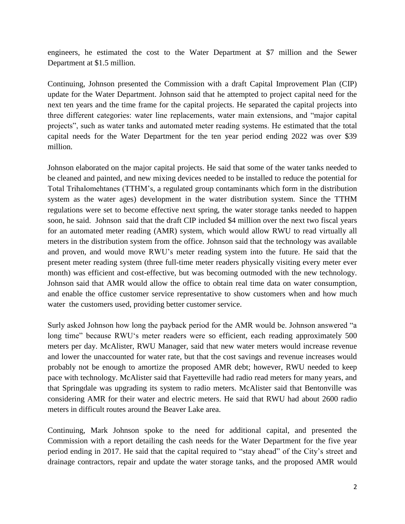engineers, he estimated the cost to the Water Department at \$7 million and the Sewer Department at \$1.5 million.

Continuing, Johnson presented the Commission with a draft Capital Improvement Plan (CIP) update for the Water Department. Johnson said that he attempted to project capital need for the next ten years and the time frame for the capital projects. He separated the capital projects into three different categories: water line replacements, water main extensions, and "major capital projects", such as water tanks and automated meter reading systems. He estimated that the total capital needs for the Water Department for the ten year period ending 2022 was over \$39 million.

Johnson elaborated on the major capital projects. He said that some of the water tanks needed to be cleaned and painted, and new mixing devices needed to be installed to reduce the potential for Total Trihalomehtanes (TTHM"s, a regulated group contaminants which form in the distribution system as the water ages) development in the water distribution system. Since the TTHM regulations were set to become effective next spring, the water storage tanks needed to happen soon, he said. Johnson said that the draft CIP included \$4 million over the next two fiscal years for an automated meter reading (AMR) system, which would allow RWU to read virtually all meters in the distribution system from the office. Johnson said that the technology was available and proven, and would move RWU"s meter reading system into the future. He said that the present meter reading system (three full-time meter readers physically visiting every meter ever month) was efficient and cost-effective, but was becoming outmoded with the new technology. Johnson said that AMR would allow the office to obtain real time data on water consumption, and enable the office customer service representative to show customers when and how much water the customers used, providing better customer service.

Surly asked Johnson how long the payback period for the AMR would be. Johnson answered "a long time" because RWU's meter readers were so efficient, each reading approximately 500 meters per day. McAlister, RWU Manager, said that new water meters would increase revenue and lower the unaccounted for water rate, but that the cost savings and revenue increases would probably not be enough to amortize the proposed AMR debt; however, RWU needed to keep pace with technology. McAlister said that Fayetteville had radio read meters for many years, and that Springdale was upgrading its system to radio meters. McAlister said that Bentonville was considering AMR for their water and electric meters. He said that RWU had about 2600 radio meters in difficult routes around the Beaver Lake area.

Continuing, Mark Johnson spoke to the need for additional capital, and presented the Commission with a report detailing the cash needs for the Water Department for the five year period ending in 2017. He said that the capital required to "stay ahead" of the City"s street and drainage contractors, repair and update the water storage tanks, and the proposed AMR would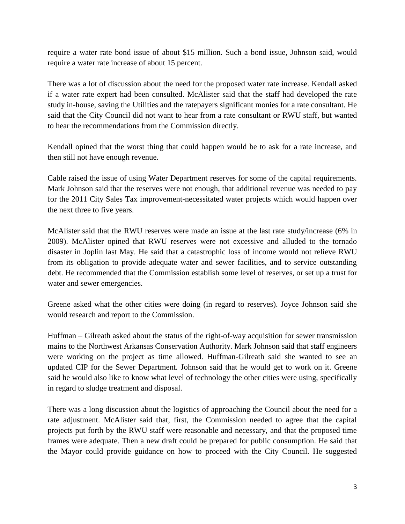require a water rate bond issue of about \$15 million. Such a bond issue, Johnson said, would require a water rate increase of about 15 percent.

There was a lot of discussion about the need for the proposed water rate increase. Kendall asked if a water rate expert had been consulted. McAlister said that the staff had developed the rate study in-house, saving the Utilities and the ratepayers significant monies for a rate consultant. He said that the City Council did not want to hear from a rate consultant or RWU staff, but wanted to hear the recommendations from the Commission directly.

Kendall opined that the worst thing that could happen would be to ask for a rate increase, and then still not have enough revenue.

Cable raised the issue of using Water Department reserves for some of the capital requirements. Mark Johnson said that the reserves were not enough, that additional revenue was needed to pay for the 2011 City Sales Tax improvement-necessitated water projects which would happen over the next three to five years.

McAlister said that the RWU reserves were made an issue at the last rate study/increase (6% in 2009). McAlister opined that RWU reserves were not excessive and alluded to the tornado disaster in Joplin last May. He said that a catastrophic loss of income would not relieve RWU from its obligation to provide adequate water and sewer facilities, and to service outstanding debt. He recommended that the Commission establish some level of reserves, or set up a trust for water and sewer emergencies.

Greene asked what the other cities were doing (in regard to reserves). Joyce Johnson said she would research and report to the Commission.

Huffman – Gilreath asked about the status of the right-of-way acquisition for sewer transmission mains to the Northwest Arkansas Conservation Authority. Mark Johnson said that staff engineers were working on the project as time allowed. Huffman-Gilreath said she wanted to see an updated CIP for the Sewer Department. Johnson said that he would get to work on it. Greene said he would also like to know what level of technology the other cities were using, specifically in regard to sludge treatment and disposal.

There was a long discussion about the logistics of approaching the Council about the need for a rate adjustment. McAlister said that, first, the Commission needed to agree that the capital projects put forth by the RWU staff were reasonable and necessary, and that the proposed time frames were adequate. Then a new draft could be prepared for public consumption. He said that the Mayor could provide guidance on how to proceed with the City Council. He suggested